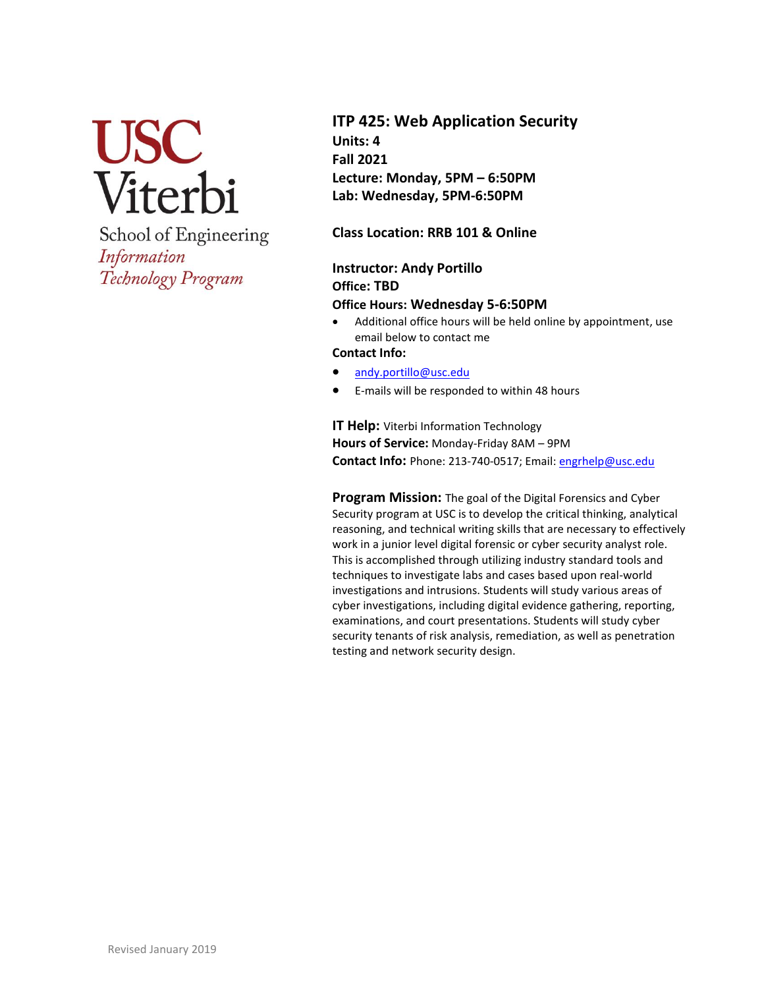

School of Engineering Information Technology Program

# **ITP 425: Web Application Security Units: 4 Fall 2021 Lecture: Monday, 5PM – 6:50PM Lab: Wednesday, 5PM-6:50PM**

**Class Location: RRB 101 & Online**

## **Instructor: Andy Portillo Office: TBD Office Hours: Wednesday 5-6:50PM**

• Additional office hours will be held online by appointment, use email below to contact me

**Contact Info:**

- [andy.portillo@usc.edu](mailto:andy.portillo@usc.edu)
- E-mails will be responded to within 48 hours

**IT Help:** Viterbi Information Technology **Hours of Service:** Monday-Friday 8AM – 9PM **Contact Info:** Phone: 213-740-0517; Email: [engrhelp@usc.edu](mailto:engrhelp@usc.edu)

**Program Mission:** The goal of the Digital Forensics and Cyber Security program at USC is to develop the critical thinking, analytical reasoning, and technical writing skills that are necessary to effectively work in a junior level digital forensic or cyber security analyst role. This is accomplished through utilizing industry standard tools and techniques to investigate labs and cases based upon real-world investigations and intrusions. Students will study various areas of cyber investigations, including digital evidence gathering, reporting, examinations, and court presentations. Students will study cyber security tenants of risk analysis, remediation, as well as penetration testing and network security design.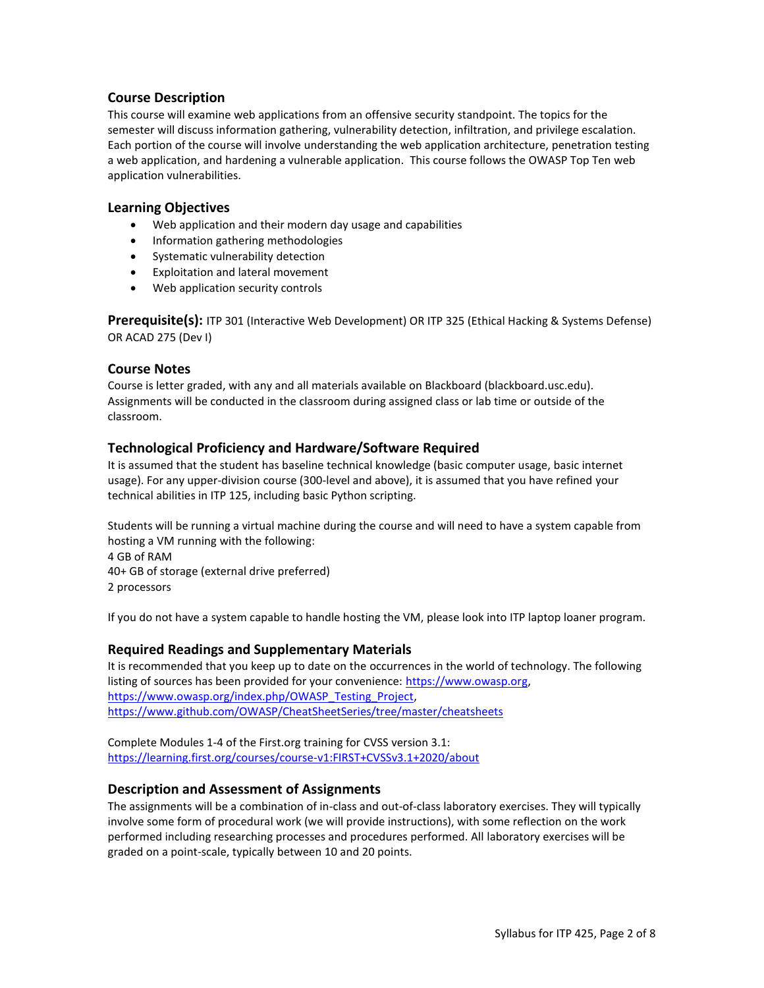## **Course Description**

This course will examine web applications from an offensive security standpoint. The topics for the semester will discuss information gathering, vulnerability detection, infiltration, and privilege escalation. Each portion of the course will involve understanding the web application architecture, penetration testing a web application, and hardening a vulnerable application. This course follows the OWASP Top Ten web application vulnerabilities.

#### **Learning Objectives**

- Web application and their modern day usage and capabilities
- Information gathering methodologies
- Systematic vulnerability detection
- Exploitation and lateral movement
- Web application security controls

**Prerequisite(s):** ITP 301 (Interactive Web Development) OR ITP 325 (Ethical Hacking & Systems Defense) OR ACAD 275 (Dev I)

#### **Course Notes**

Course is letter graded, with any and all materials available on Blackboard (blackboard.usc.edu). Assignments will be conducted in the classroom during assigned class or lab time or outside of the classroom.

## **Technological Proficiency and Hardware/Software Required**

It is assumed that the student has baseline technical knowledge (basic computer usage, basic internet usage). For any upper-division course (300-level and above), it is assumed that you have refined your technical abilities in ITP 125, including basic Python scripting.

Students will be running a virtual machine during the course and will need to have a system capable from hosting a VM running with the following: 4 GB of RAM 40+ GB of storage (external drive preferred) 2 processors

If you do not have a system capable to handle hosting the VM, please look into ITP laptop loaner program.

## **Required Readings and Supplementary Materials**

It is recommended that you keep up to date on the occurrences in the world of technology. The following listing of sources has been provided for your convenience: [https://www.owasp.org,](https://www.owasp.org/) [https://www.owasp.org/index.php/OWASP\\_Testing\\_Project,](https://www.owasp.org/index.php/OWASP_Testing_Project) <https://www.github.com/OWASP/CheatSheetSeries/tree/master/cheatsheets>

Complete Modules 1-4 of the First.org training for CVSS version 3.1: <https://learning.first.org/courses/course-v1:FIRST+CVSSv3.1+2020/about>

## **Description and Assessment of Assignments**

The assignments will be a combination of in-class and out-of-class laboratory exercises. They will typically involve some form of procedural work (we will provide instructions), with some reflection on the work performed including researching processes and procedures performed. All laboratory exercises will be graded on a point-scale, typically between 10 and 20 points.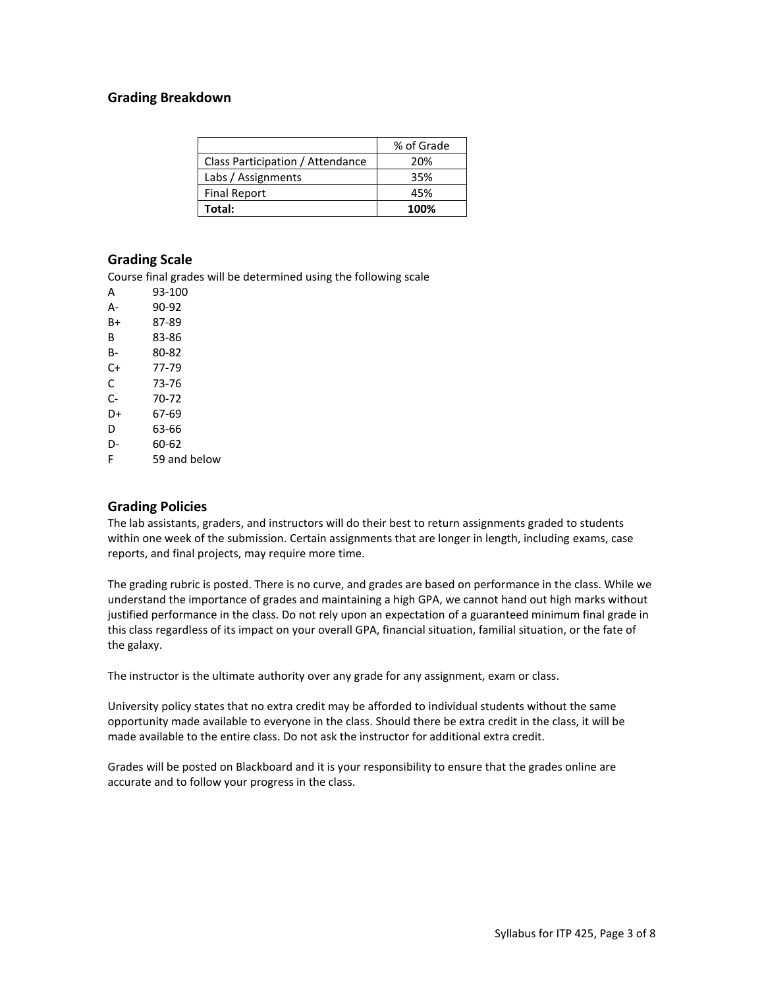## **Grading Breakdown**

|                                  | % of Grade |
|----------------------------------|------------|
| Class Participation / Attendance | 20%        |
| Labs / Assignments               | 35%        |
| <b>Final Report</b>              | 45%        |
| Total:                           | 100%       |

#### **Grading Scale**

Course final grades will be determined using the following scale

| А  | 93-100       |
|----|--------------|
| А- | 90-92        |
| B+ | 87-89        |
| В  | 83-86        |
| в- | 80-82        |
| C+ | 77-79        |
| C  | 73-76        |
| C- | 70-72        |
| D+ | 67-69        |
| D  | 63-66        |
| D- | 60-62        |
| F  | 59 and below |

## **Grading Policies**

The lab assistants, graders, and instructors will do their best to return assignments graded to students within one week of the submission. Certain assignments that are longer in length, including exams, case reports, and final projects, may require more time.

The grading rubric is posted. There is no curve, and grades are based on performance in the class. While we understand the importance of grades and maintaining a high GPA, we cannot hand out high marks without justified performance in the class. Do not rely upon an expectation of a guaranteed minimum final grade in this class regardless of its impact on your overall GPA, financial situation, familial situation, or the fate of the galaxy.

The instructor is the ultimate authority over any grade for any assignment, exam or class.

University policy states that no extra credit may be afforded to individual students without the same opportunity made available to everyone in the class. Should there be extra credit in the class, it will be made available to the entire class. Do not ask the instructor for additional extra credit.

Grades will be posted on Blackboard and it is your responsibility to ensure that the grades online are accurate and to follow your progress in the class.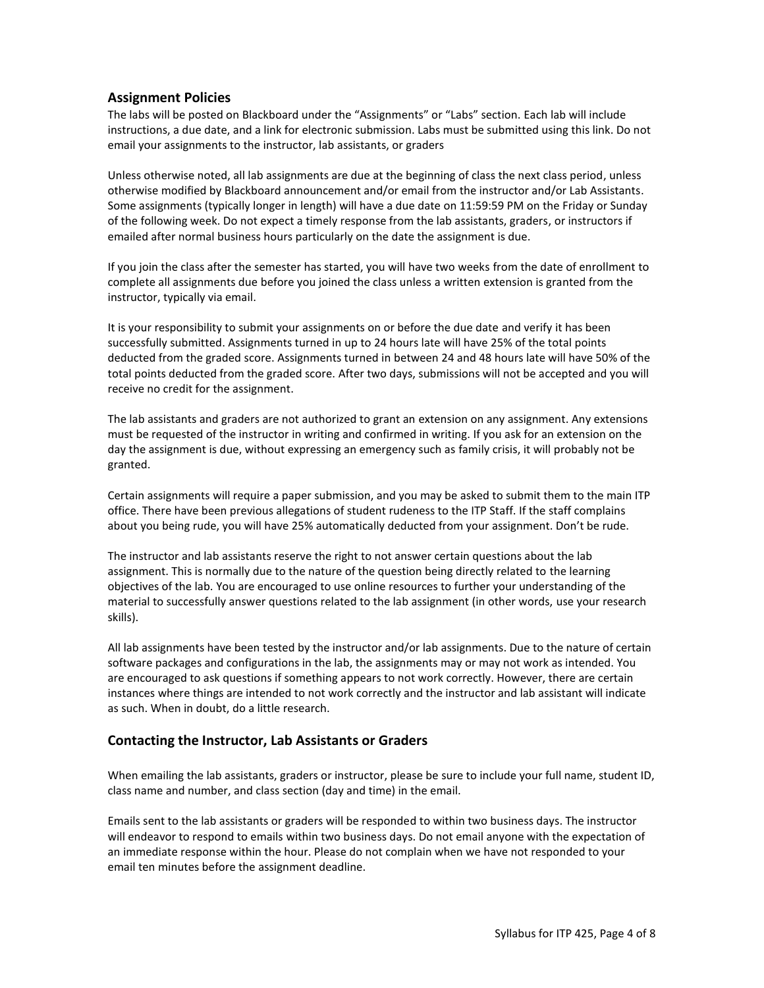### **Assignment Policies**

The labs will be posted on Blackboard under the "Assignments" or "Labs" section. Each lab will include instructions, a due date, and a link for electronic submission. Labs must be submitted using this link. Do not email your assignments to the instructor, lab assistants, or graders

Unless otherwise noted, all lab assignments are due at the beginning of class the next class period, unless otherwise modified by Blackboard announcement and/or email from the instructor and/or Lab Assistants. Some assignments (typically longer in length) will have a due date on 11:59:59 PM on the Friday or Sunday of the following week. Do not expect a timely response from the lab assistants, graders, or instructors if emailed after normal business hours particularly on the date the assignment is due.

If you join the class after the semester has started, you will have two weeks from the date of enrollment to complete all assignments due before you joined the class unless a written extension is granted from the instructor, typically via email.

It is your responsibility to submit your assignments on or before the due date and verify it has been successfully submitted. Assignments turned in up to 24 hours late will have 25% of the total points deducted from the graded score. Assignments turned in between 24 and 48 hours late will have 50% of the total points deducted from the graded score. After two days, submissions will not be accepted and you will receive no credit for the assignment.

The lab assistants and graders are not authorized to grant an extension on any assignment. Any extensions must be requested of the instructor in writing and confirmed in writing. If you ask for an extension on the day the assignment is due, without expressing an emergency such as family crisis, it will probably not be granted.

Certain assignments will require a paper submission, and you may be asked to submit them to the main ITP office. There have been previous allegations of student rudeness to the ITP Staff. If the staff complains about you being rude, you will have 25% automatically deducted from your assignment. Don't be rude.

The instructor and lab assistants reserve the right to not answer certain questions about the lab assignment. This is normally due to the nature of the question being directly related to the learning objectives of the lab. You are encouraged to use online resources to further your understanding of the material to successfully answer questions related to the lab assignment (in other words, use your research skills).

All lab assignments have been tested by the instructor and/or lab assignments. Due to the nature of certain software packages and configurations in the lab, the assignments may or may not work as intended. You are encouraged to ask questions if something appears to not work correctly. However, there are certain instances where things are intended to not work correctly and the instructor and lab assistant will indicate as such. When in doubt, do a little research.

## **Contacting the Instructor, Lab Assistants or Graders**

When emailing the lab assistants, graders or instructor, please be sure to include your full name, student ID, class name and number, and class section (day and time) in the email.

Emails sent to the lab assistants or graders will be responded to within two business days. The instructor will endeavor to respond to emails within two business days. Do not email anyone with the expectation of an immediate response within the hour. Please do not complain when we have not responded to your email ten minutes before the assignment deadline.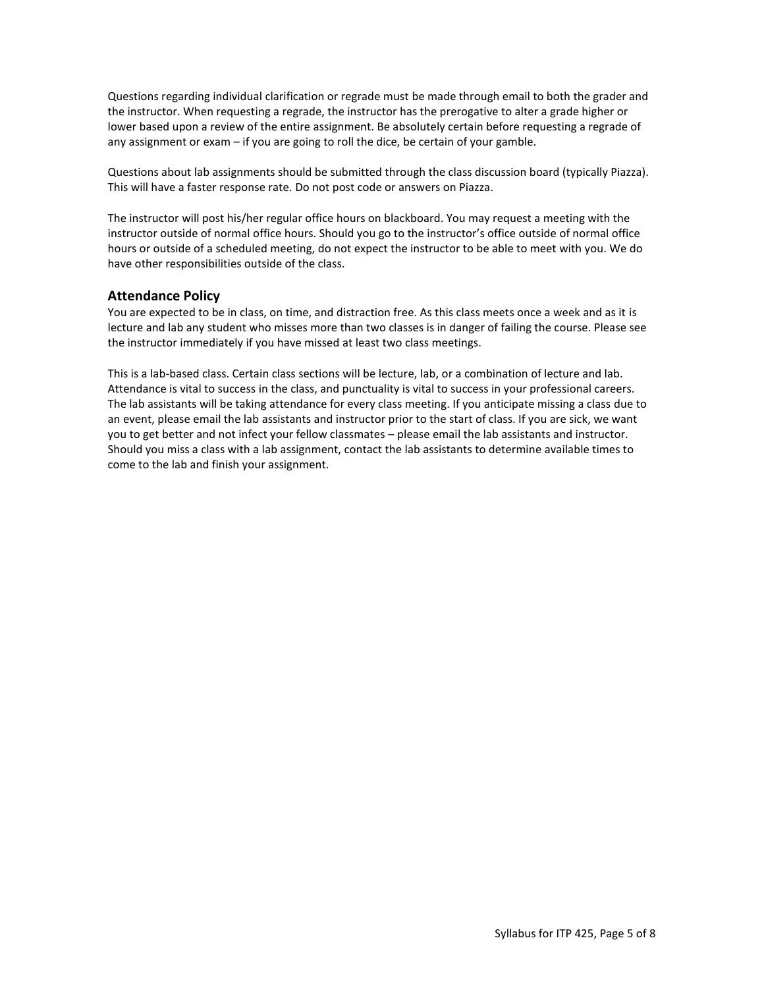Questions regarding individual clarification or regrade must be made through email to both the grader and the instructor. When requesting a regrade, the instructor has the prerogative to alter a grade higher or lower based upon a review of the entire assignment. Be absolutely certain before requesting a regrade of any assignment or exam – if you are going to roll the dice, be certain of your gamble.

Questions about lab assignments should be submitted through the class discussion board (typically Piazza). This will have a faster response rate. Do not post code or answers on Piazza.

The instructor will post his/her regular office hours on blackboard. You may request a meeting with the instructor outside of normal office hours. Should you go to the instructor's office outside of normal office hours or outside of a scheduled meeting, do not expect the instructor to be able to meet with you. We do have other responsibilities outside of the class.

## **Attendance Policy**

You are expected to be in class, on time, and distraction free. As this class meets once a week and as it is lecture and lab any student who misses more than two classes is in danger of failing the course. Please see the instructor immediately if you have missed at least two class meetings.

This is a lab-based class. Certain class sections will be lecture, lab, or a combination of lecture and lab. Attendance is vital to success in the class, and punctuality is vital to success in your professional careers. The lab assistants will be taking attendance for every class meeting. If you anticipate missing a class due to an event, please email the lab assistants and instructor prior to the start of class. If you are sick, we want you to get better and not infect your fellow classmates – please email the lab assistants and instructor. Should you miss a class with a lab assignment, contact the lab assistants to determine available times to come to the lab and finish your assignment.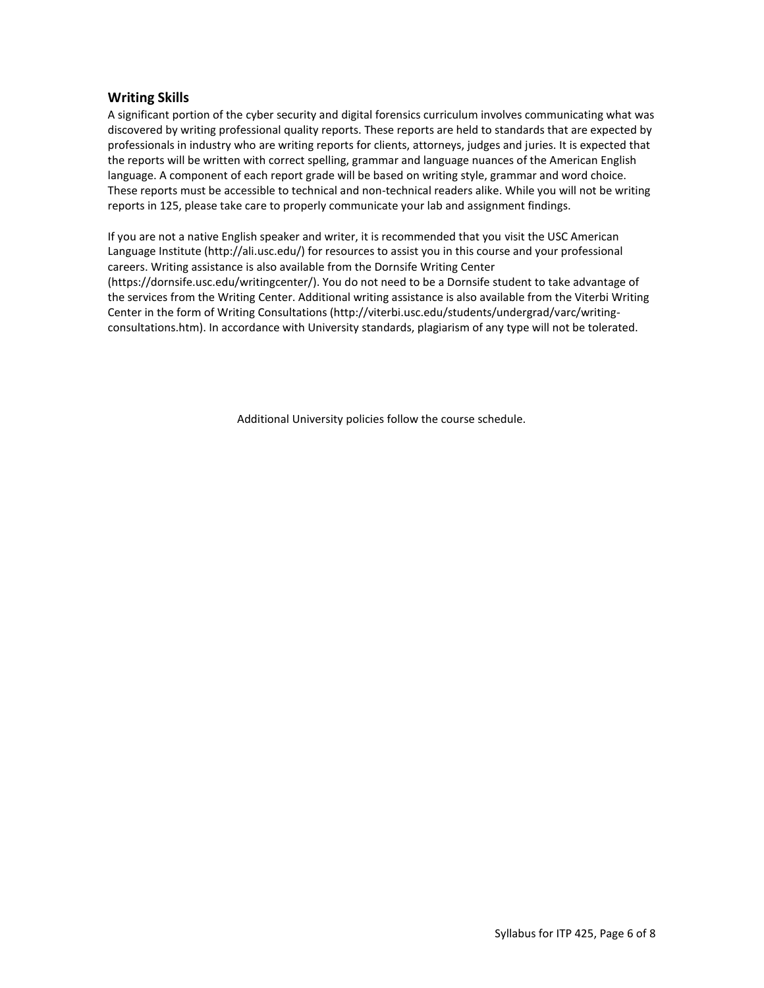#### **Writing Skills**

A significant portion of the cyber security and digital forensics curriculum involves communicating what was discovered by writing professional quality reports. These reports are held to standards that are expected by professionals in industry who are writing reports for clients, attorneys, judges and juries. It is expected that the reports will be written with correct spelling, grammar and language nuances of the American English language. A component of each report grade will be based on writing style, grammar and word choice. These reports must be accessible to technical and non-technical readers alike. While you will not be writing reports in 125, please take care to properly communicate your lab and assignment findings.

If you are not a native English speaker and writer, it is recommended that you visit the USC American Language Institute (http://ali.usc.edu/) for resources to assist you in this course and your professional careers. Writing assistance is also available from the Dornsife Writing Center (https://dornsife.usc.edu/writingcenter/). You do not need to be a Dornsife student to take advantage of the services from the Writing Center. Additional writing assistance is also available from the Viterbi Writing Center in the form of Writing Consultations (http://viterbi.usc.edu/students/undergrad/varc/writingconsultations.htm). In accordance with University standards, plagiarism of any type will not be tolerated.

Additional University policies follow the course schedule.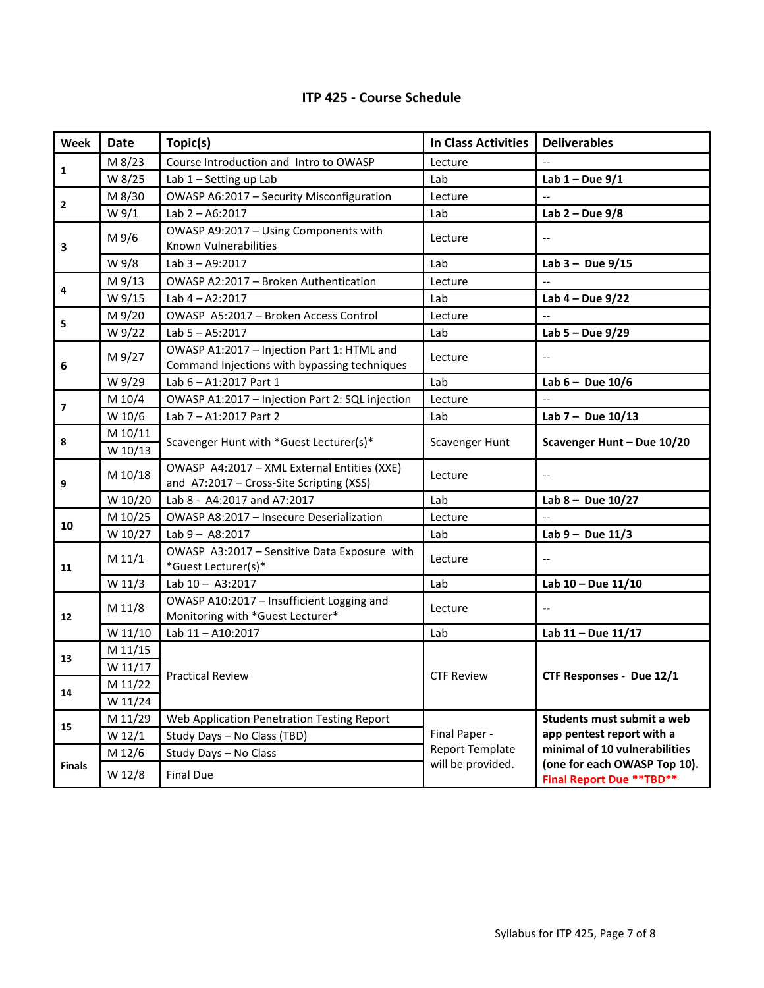|  |  | <b>ITP 425 - Course Schedule</b> |
|--|--|----------------------------------|
|--|--|----------------------------------|

| Week                    | <b>Date</b>        | Topic(s)                                                                                   | <b>In Class Activities</b> | <b>Deliverables</b>                                              |
|-------------------------|--------------------|--------------------------------------------------------------------------------------------|----------------------------|------------------------------------------------------------------|
| 1                       | M 8/23             | Course Introduction and Intro to OWASP                                                     | Lecture                    | $\overline{\phantom{a}}$                                         |
|                         | W 8/25             | Lab 1 - Setting up Lab                                                                     | Lab                        | Lab $1 - Due 9/1$                                                |
| $\mathbf{2}$            | M 8/30             | OWASP A6:2017 - Security Misconfiguration                                                  | Lecture                    |                                                                  |
|                         | W 9/1              | Lab $2 - A6:2017$                                                                          | Lab                        | Lab $2 - Due 9/8$                                                |
| 3                       | M 9/6              | OWASP A9:2017 - Using Components with<br>Known Vulnerabilities                             | Lecture                    | $\hspace{0.05cm} -\hspace{0.05cm} -\hspace{0.05cm}$              |
|                         | W 9/8              | Lab 3 - A9:2017                                                                            | Lab                        | Lab $3 - Due 9/15$                                               |
| 4                       | M 9/13             | OWASP A2:2017 - Broken Authentication                                                      | Lecture                    | $\overline{\phantom{a}}$                                         |
|                         | W 9/15             | Lab $4 - A2:2017$                                                                          | Lab                        | Lab $4 - Due 9/22$                                               |
|                         | M 9/20             | OWASP A5:2017 - Broken Access Control                                                      | Lecture                    |                                                                  |
| 5                       | W 9/22             | Lab 5 - A5:2017                                                                            | Lab                        | Lab $5 - Due 9/29$                                               |
| 6                       | M 9/27             | OWASP A1:2017 - Injection Part 1: HTML and<br>Command Injections with bypassing techniques | Lecture                    | $\overline{\phantom{a}}$                                         |
|                         | W 9/29             | Lab 6 - A1:2017 Part 1                                                                     | Lab                        | Lab $6 -$ Due $10/6$                                             |
|                         | M 10/4             | OWASP A1:2017 - Injection Part 2: SQL injection                                            | Lecture                    | $\overline{\phantom{a}}$                                         |
| $\overline{\mathbf{z}}$ | W 10/6             | Lab 7 - A1:2017 Part 2                                                                     | Lab                        | Lab $7 - Due 10/13$                                              |
| 8                       | M 10/11<br>W 10/13 | Scavenger Hunt with *Guest Lecturer(s)*                                                    | Scavenger Hunt             | Scavenger Hunt - Due 10/20                                       |
| 9                       | M 10/18            | OWASP A4:2017 - XML External Entities (XXE)<br>and A7:2017 - Cross-Site Scripting (XSS)    | Lecture                    | $\overline{\phantom{a}}$                                         |
|                         | W 10/20            | Lab 8 - A4:2017 and A7:2017                                                                | Lab                        | Lab $8 - Due 10/27$                                              |
|                         | M 10/25            | OWASP A8:2017 - Insecure Deserialization                                                   | Lecture                    | $\overline{a}$                                                   |
| 10                      | W 10/27            | Lab $9 - A8:2017$                                                                          | Lab                        | Lab $9 - Due 11/3$                                               |
| 11                      | M 11/1             | OWASP A3:2017 - Sensitive Data Exposure with<br>*Guest Lecturer(s)*                        | Lecture                    | $\hspace{0.05cm} -\hspace{0.05cm} -\hspace{0.05cm}$              |
|                         | W 11/3             | Lab 10-A3:2017                                                                             | Lab                        | Lab 10 - Due 11/10                                               |
| 12                      | M 11/8             | OWASP A10:2017 - Insufficient Logging and<br>Monitoring with *Guest Lecturer*              | Lecture                    | $\overline{\phantom{a}}$                                         |
|                         | W 11/10            | Lab 11-A10:2017                                                                            | Lab                        | Lab 11 - Due 11/17                                               |
| 13                      | M 11/15            |                                                                                            | <b>CTF Review</b>          |                                                                  |
|                         | W 11/17            | <b>Practical Review</b>                                                                    |                            | CTF Responses - Due 12/1                                         |
| 14                      | M 11/22            |                                                                                            |                            |                                                                  |
|                         | W 11/24            |                                                                                            |                            |                                                                  |
| 15                      | M 11/29            | Web Application Penetration Testing Report                                                 |                            | Students must submit a web                                       |
|                         | W 12/1             | Study Days - No Class (TBD)                                                                | Final Paper -              | app pentest report with a                                        |
| <b>Finals</b>           | M 12/6             | Study Days - No Class                                                                      | <b>Report Template</b>     | minimal of 10 vulnerabilities                                    |
|                         | W 12/8             | <b>Final Due</b>                                                                           | will be provided.          | (one for each OWASP Top 10).<br><b>Final Report Due ** TBD**</b> |